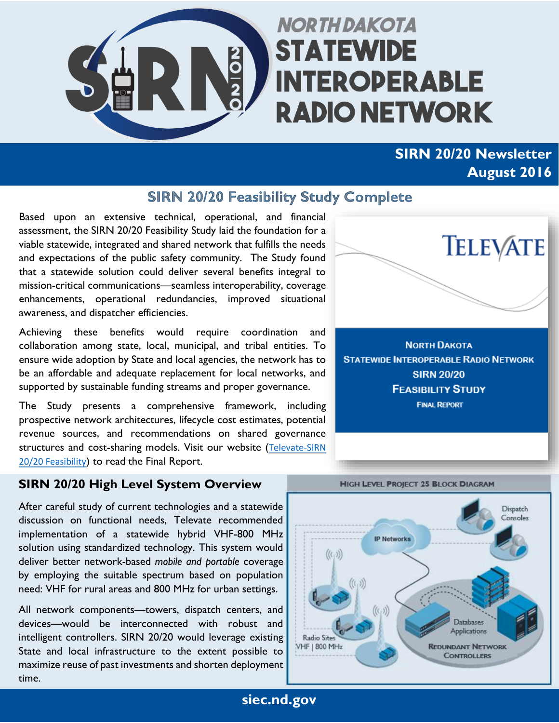

# **NORTH DAKOTA STATEWIDE INTEROPERABLE RADIO NETWORK**

# **SIRN 20/20 Newsletter August 2016**

#### **SIRN 20/20 Feasibility Study Complete**

Based upon an extensive technical, operational, and financial assessment, the SIRN 20/20 Feasibility Study laid the foundation for a viable statewide, integrated and shared network that fulfills the needs and expectations of the public safety community. The Study found that a statewide solution could deliver several benefits integral to mission-critical communications—seamless interoperability, coverage enhancements, operational redundancies, improved situational awareness, and dispatcher efficiencies.

Achieving these benefits would require coordination and collaboration among state, local, municipal, and tribal entities. To ensure wide adoption by State and local agencies, the network has to be an affordable and adequate replacement for local networks, and supported by sustainable funding streams and proper governance.

The Study presents a comprehensive framework, including prospective network architectures, lifecycle cost estimates, potential revenue sources, and recommendations on shared governance structures and cost-sharing models. Visit our website (Televate-SIRN [20/20 Feasibility](https://www.nd.gov/itd/sites/itd/files/legacy/alliances/siec/Televate-SIRN_2020_Report_for_publication.pdf)) to read the Final Report.

#### **SIRN 20/20 High Level System Overview**

After careful study of current technologies and a statewide discussion on functional needs, Televate recommended implementation of a statewide hybrid VHF-800 MHz solution using standardized technology. This system would deliver better network-based *mobile and portable* coverage by employing the suitable spectrum based on population need: VHF for rural areas and 800 MHz for urban settings.

All network components—towers, dispatch centers, and devices—would be interconnected with robust and intelligent controllers. SIRN 20/20 would leverage existing State and local infrastructure to the extent possible to maximize reuse of past investments and shorten deployment time.



**NORTH DAKOTA STATEWIDE INTEROPERABLE RADIO NETWORK SIRN 20/20 FEASIBILITY STUDY FINAL REPORT** 



**HIGH LEVEL PROJECT 25 BLOCK DIAGRAM** 

**siec.nd.gov**